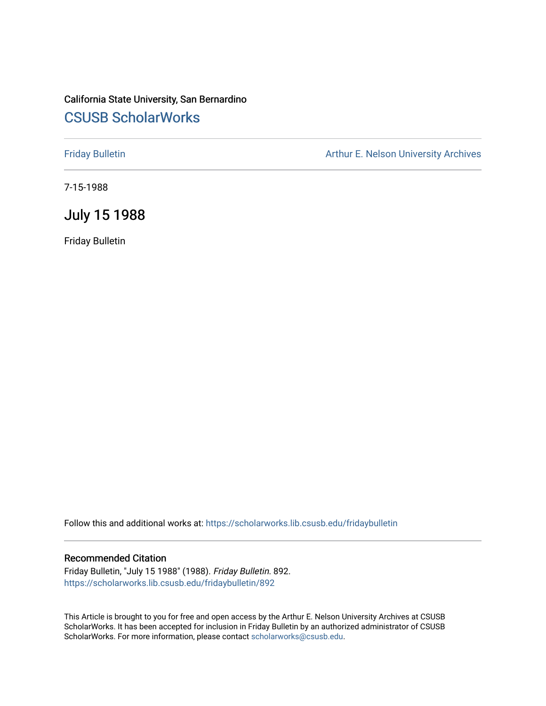## California State University, San Bernardino [CSUSB ScholarWorks](https://scholarworks.lib.csusb.edu/)

[Friday Bulletin](https://scholarworks.lib.csusb.edu/fridaybulletin) **Arthur E. Nelson University Archives** Arthur E. Nelson University Archives

7-15-1988

## July 15 1988

Friday Bulletin

Follow this and additional works at: [https://scholarworks.lib.csusb.edu/fridaybulletin](https://scholarworks.lib.csusb.edu/fridaybulletin?utm_source=scholarworks.lib.csusb.edu%2Ffridaybulletin%2F892&utm_medium=PDF&utm_campaign=PDFCoverPages)

### Recommended Citation

Friday Bulletin, "July 15 1988" (1988). Friday Bulletin. 892. [https://scholarworks.lib.csusb.edu/fridaybulletin/892](https://scholarworks.lib.csusb.edu/fridaybulletin/892?utm_source=scholarworks.lib.csusb.edu%2Ffridaybulletin%2F892&utm_medium=PDF&utm_campaign=PDFCoverPages)

This Article is brought to you for free and open access by the Arthur E. Nelson University Archives at CSUSB ScholarWorks. It has been accepted for inclusion in Friday Bulletin by an authorized administrator of CSUSB ScholarWorks. For more information, please contact [scholarworks@csusb.edu.](mailto:scholarworks@csusb.edu)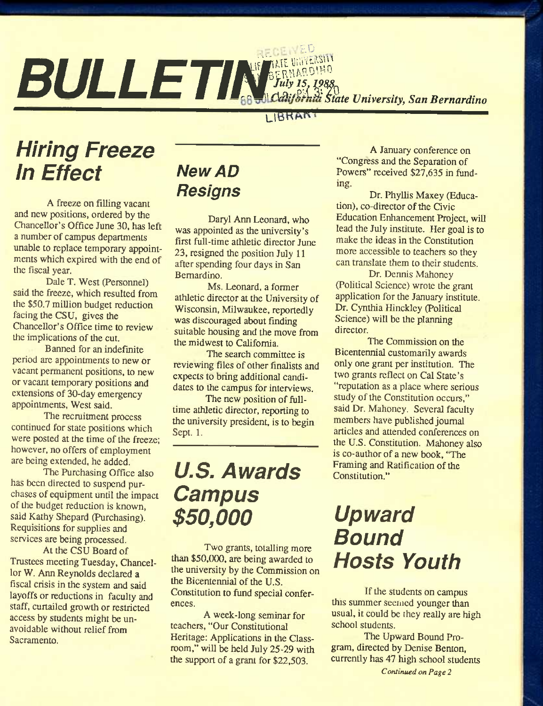# $E$ . **SULLETINGERNARDINO**<br>*SLILLETINGERNARDINO SLIPSES*

## I IBRAN

# *Hiring Freeze In Effect*

A freeze on filling vacant and new positions, ordered by the Chancellor's Office June 30, has left a number of campus departments unable to replace temporary appointments which expired with the end of the fiscal year.

Dale T. West (Personnel) said the freeze, which resulted from the \$50.7 million budget reduction facing the CSU, gives the Chancellor's Office time to review the implications of the cut.

Banned for an indefinite period are appointments to new or vacant permanent positions, to new or vacant temporary positions and extensions of 30-day emergency appointments, West said.

The recruitment process continued for state positions which were posted at the time of the freeze; however, no offers of employment are being extended, he added.

The Purchasing Office also has been directed to suspend purchases of equipment until the impact of the budget reduction is known, said Kathy Shepard (Purchasing). Requisitions for supplies and services are being processed.

At the CSU Board of Trustees meeting Tuesday, Chancellor W. Ann Reynolds declared a fiscal crisis in the system and said layoffs or reductions in faculty and staff, curtailed growth or restricted access by students might be unavoidable without relief from Sacramento.

# *New AD Resigns*

Daryl Ann Leonard, who was appointed as the university's first full-time athletic director June 23, resigned the position July 11 after spending four days in San Bernardino.

Ms. Leonard, a former athletic director at the University of Wisconsin, Milwaukee, reportedly was discouraged about finding suitable housing and the move from the midwest to California.

The search committee is reviewing files of other finalists and expects to bring additional candidates to the campus for interviews.

The new position of fulltime athletic director, reporting to the university president, is to begin Sept. 1.

# *U.S. Awards Campus \$50,000*

Two grants, totalling more than \$50,000, are being awarded to the university by the Commission on the Bicentennial of the U.S. Constitution to fund special conferences.

A week-long seminar for teachers, "Our Constitutional Heritage: Applications in the Classroom," will be held July 25-29 with the support of a grant for \$22,503.

A January conference on "Congress and the Separation of Powers" received \$27,635 in funding.

Dr. Phyllis Maxey (Education), co-director of the Civic Education Enhancement Project, will lead the July institute. Her goal is to make the ideas in the Constitution more accessible to teachers so they can translate them to their students.

Dr. Dennis Mahoncy (Political Science) wrote the grant application for the January institute. Dr. Cynthia Hinckley (Political Science) will be the planning director.

The Commission on the Bicentennial customarily awards only one grant per institution. The two grants reflect on Cal State's "reputation as a place where serious study of the Constitution occurs," said Dr. Mahoncy. Several faculty members have published joumal articles and attended conferences on the U.S. Constitution. Mahoney also is co-author of a new book, "The Framing and Ratification of the Constitution."

# *Upward Bound Hosts Youth*

If the students on campus this summer seemed younger than usual, it could be they really are high school students.

The Upward Bound Program, directed by Denise Benton, currently has 47 high school students

*Continued on Page 2*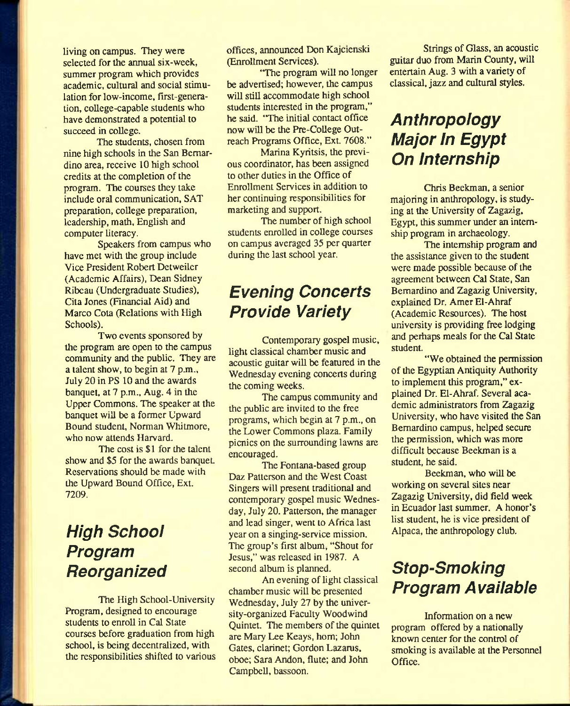living on campus. They were selected for the annual six-week, summer program which provides academic, cultural and social stimulation for low-income, first-generation, college-capable students who have demonstrated a potential to succeed in college.

The students, chosen from nine high schools in the San Bernardino area, receive 10 high school credits at the completion of the program. The courses they take include oral communication, SAT preparation, college preparation, leadership, math, English and computer literacy.

Speakers from campus who have met with the group include Vice President Robert Dctweiler (Academic Affairs), Dean Sidney Ribeau (Undergraduate Studies), Cita Jones (Financial Aid) and Marco Cota (Relations with High Schools).

Two events sponsored by the program are open to the campus community and the public. They are a talent show, to begin at 7 p.m., July 20 in PS 10 and the awards banquet, at 7 p.m., Aug. 4 in the Upper Commons. The speaker at the banquet will be a former Upward Bound student, Norman Whitmorc, who now attends Harvard.

The cost is \$1 for the talent show and \$5 for the awards banquet. Reservations should be made with the Upward Bound Office, Ext. 7209.

## *High School Program Reorganized*

The High School-University Program, designed to encourage students to enroll in Gal State courses before graduation from high school, is being decentralized, with the responsibilities shifted to various offices, announced Don Kajcienski (Enrollment Services).

'The program will no longer be advertised; however, the campus will still accommodate high school students interested in the program," he said. "The initial contact office now will be the Pre-College Outreach Programs Office, Ext. 7608."

Marina Kyritsis, the previous coordinator, has been assigned to other duties in the Office of Enrollment Services in addition to her continuing responsibilities for marketing and support.

The number of high school students enrolled in college courses on campus averaged 35 per quarter during the last school year.

## *Evening Concerts Provide Variety*

Contemporary gospel music, light classical chamber music and acoustic guitar will be featured in the Wednesday evening concerts during the coming weeks.

The campus community and the public are invited to the free programs, which begin at 7 p.m., on the Lower Commons plaza. Family picnics on the surrounding lawns are encouraged.

The Fontana-based group Daz Patterson and the West Coast Singers will present traditional and contemporary gospel music Wednesday, July 20. Patterson, the manager and lead singer, went to Africa last year on a singing-service mission. The group's first album, "Shout for Jesus," was released in 1987. A second album is planned.

An evening of light classical chamber music will be presented Wednesday, July 27 by the university-organized Faculty Woodwind Quintet. The members of the quintet are Mary Lee Keays, horn; John Gates, clarinet; Gordon Lazarus, oboe; Sara Andon, flute; and John Campbell, bassoon.

Strings of Glass, an acoustic guitar duo from Marin County, will entertain Aug. 3 with a variety of classical, jazz and cultural styles.

## *Anthropology Major In Egypt On Internship*

Chris Beekman, a senior majoring in anthropology, is studying at the University of Zagazig, Egypt, this summer under an internship program in archaeology.

The internship program and the assistance given to the student were made possible because of the agreement between Cal State, San Bernardino and Zagazig University, explained Dr. Amer El-Ahraf (Academic Resources). The host university is providing free lodging and perhaps meals for the Cal State student.

"We obtained the permission of the Egyptian Antiquity Authority to implement this program," explained Dr. El-Ahraf. Several academic administrators from Zagazig University, who have visited the San Bernardino campus, helped secure the permission, which was more difficult because Beekman is a student, he said.

Beekman, who will be working on several sites near Zagazig University, did field week in Ecuador last summer. A honor's list student, he is vice president of Alpaca, the anthropology club.

## *Stop-Smoking Program Available*

Information on a new program offered by a nationally known center for the control of smoking is available at the Personnel Office.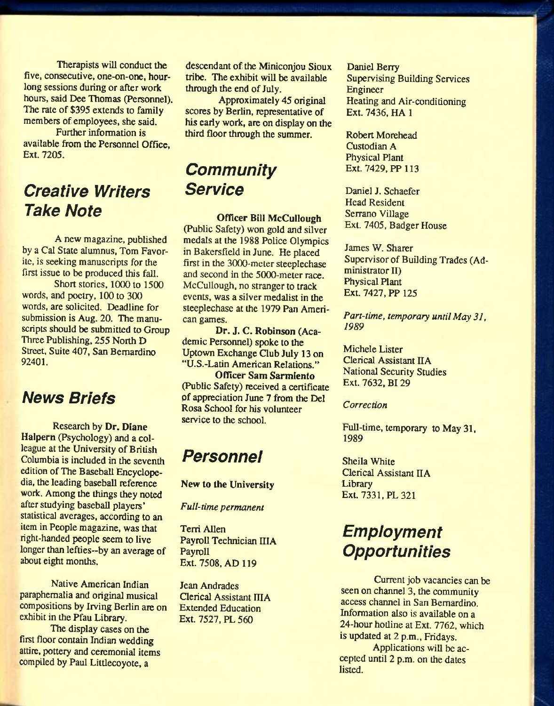Therapists will conduct the five, consecutive, one-on-one, hourlong sessions during or after work hours, said Dee Thomas (Personnel). The rate of \$395 extends to family members of employees, she said.

Further information is available from the Personnel Office, Ext. 7205.

## *Creative Writers Take Note*

A new magazine, published by a Cal State alumnus, Tom Favorite, is seeking manuscripts for the first issue to be produced this fall.

Short stories, 1000 to 1500 words, and poetry, 100 to 300 words, are solicited. Deadline for submission is Aug. 20. The manuscripts should be submitted to Group Three Publishing, 255 North D Street, Suite 407, San Bernardino 92401.

## *News Briefs*

Research by Dr. Diane Halpern (Psychology) and a colleague at the University of British Columbia is included in the seventh edition of The Baseball Encyclopedia, the leading baseball reference work. Among the things they noted after studying baseball players' statistical averages, according to an item in People magazine, was that right-handed people seem to live longer than lefties--by an average of about eight months.

Native American Indian paraphernalia and original musical compositions by Irving Berlin are on exhibit in the Pfau Library.

The display cases on the first floor contain Indian wedding attire, pottery and ceremonial items compiled by Paul Littlecoyote, a

descendant of the Miniconjou Sioux tribe. The exhibit will be available through the end of July.

Approximately 45 original scores by Berlin, representative of his eariy work, are on display on the third floor through the summer.

## *Community Service*

#### Officer Bill McCulIough

(Public Safety) won gold and silver medals at the 1988 Police Olympics in Bakersfield in June. He placed first in the 3000-meter steeplechase and second in the 5000-meter race. McCulIough, no stranger to track events, was a silver medalist in the steeplechase at the 1979 Pan American games.

Dr. J. C. Robinson (Academic Personnel) spoke to the Uptown Exchange Qub July 13 on "U.S.-Latin American Relations."

Officer Sam Sarmiento (Public Safety) received a certificate of appreciation June 7 from the Del Rosa School for his volunteer service to the school.

## *Personnel*

#### New to the University

*Full-time permanent* 

Terri Allen Payroll Technician IIIA Payroll Ext. 7508, AD 119

Jean Andrades Qerical Assistant IIIA Extended Education Ext. 7527, PL 560

Daniel Berry Supervising Building Services Engineer Heating and Air-conditioning Ext. 7436, HA 1

Robert Morehead Custodian A Physical Plant Ext. 7429, PP 113

Daniel J. Schaefer Head Resident Serrano Village Ext. 7405, Badger House

James W. Sharer Supervisor of Building Trades (Administrator II) Physical Plant Ext. 7427, PP 125

*Part-time, temporary until May 31, 1989* 

Michele Lister Clerical Assistant IIA National Security Studies Ext. 7632, BI 29

#### *Correction*

Full-time, temporary to May 31, 1989

Sheila White Clerical Assistant IIA **Library** Ext. 7331, PL 321

## *Employment Opportunities*

Current job vacancies can be seen on channel 3, the community access channel in San Bernardino. Information also is available on a 24-hour hotline at Ext. 7762, which is updated at 2 p.m., Fridays.

Applications will be accepted until 2 p.m. on the dates listed.